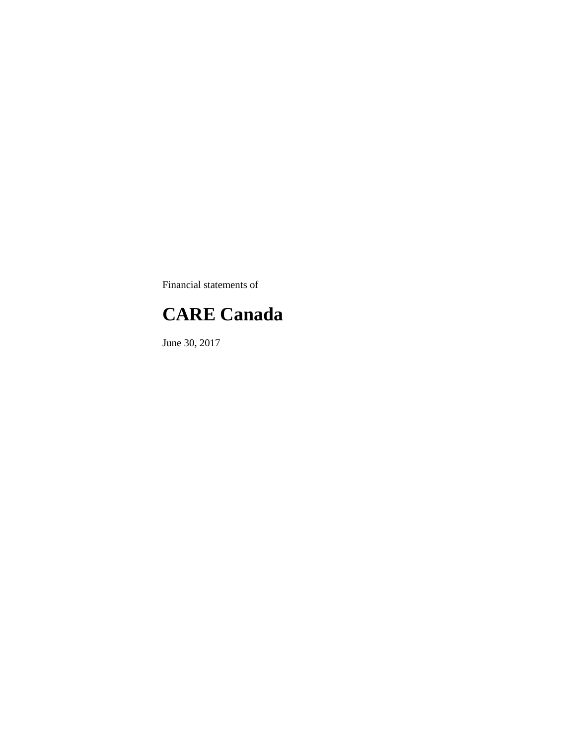Financial statements of

### **CARE Canada**

June 30, 2017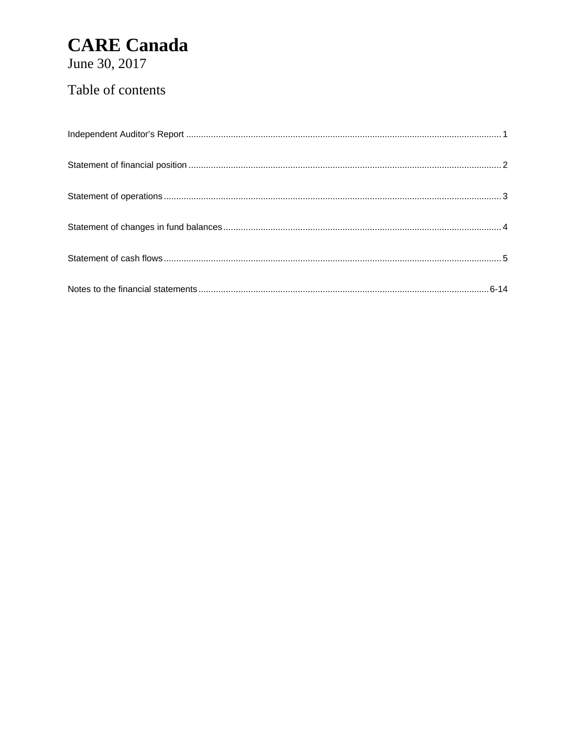June 30, 2017

### Table of contents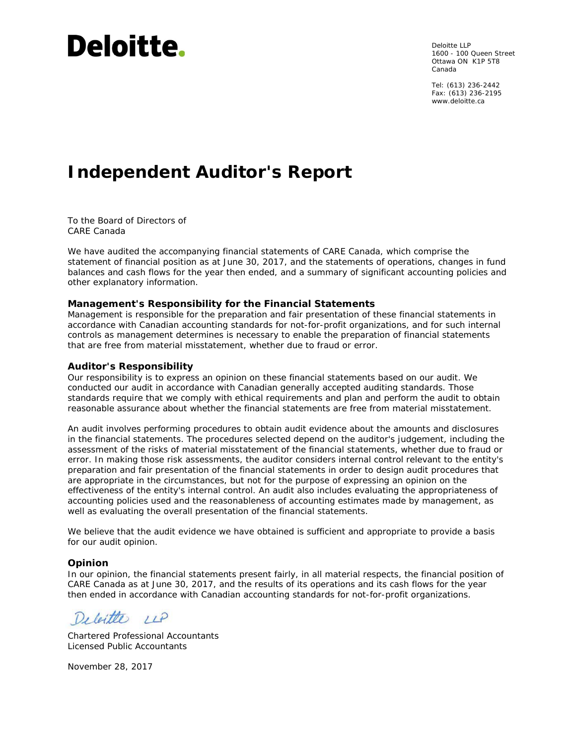# Deloitte.

Deloitte LLP 1600 - 100 Queen Street Ottawa ON K1P 5T8 Canada

Tel: (613) 236-2442 Fax: (613) 236-2195 www.deloitte.ca

### **Independent Auditor's Report**

To the Board of Directors of CARE Canada

We have audited the accompanying financial statements of CARE Canada, which comprise the statement of financial position as at June 30, 2017, and the statements of operations, changes in fund balances and cash flows for the year then ended, and a summary of significant accounting policies and other explanatory information.

#### **Management's Responsibility for the Financial Statements**

Management is responsible for the preparation and fair presentation of these financial statements in accordance with Canadian accounting standards for not-for-profit organizations, and for such internal controls as management determines is necessary to enable the preparation of financial statements that are free from material misstatement, whether due to fraud or error.

#### **Auditor's Responsibility**

Our responsibility is to express an opinion on these financial statements based on our audit. We conducted our audit in accordance with Canadian generally accepted auditing standards. Those standards require that we comply with ethical requirements and plan and perform the audit to obtain reasonable assurance about whether the financial statements are free from material misstatement.

An audit involves performing procedures to obtain audit evidence about the amounts and disclosures in the financial statements. The procedures selected depend on the auditor's judgement, including the assessment of the risks of material misstatement of the financial statements, whether due to fraud or error. In making those risk assessments, the auditor considers internal control relevant to the entity's preparation and fair presentation of the financial statements in order to design audit procedures that are appropriate in the circumstances, but not for the purpose of expressing an opinion on the effectiveness of the entity's internal control. An audit also includes evaluating the appropriateness of accounting policies used and the reasonableness of accounting estimates made by management, as well as evaluating the overall presentation of the financial statements.

We believe that the audit evidence we have obtained is sufficient and appropriate to provide a basis for our audit opinion.

#### **Opinion**

In our opinion, the financial statements present fairly, in all material respects, the financial position of CARE Canada as at June 30, 2017, and the results of its operations and its cash flows for the year then ended in accordance with Canadian accounting standards for not-for-profit organizations.

Deleiter  $11P$ 

Chartered Professional Accountants Licensed Public Accountants

November 28, 2017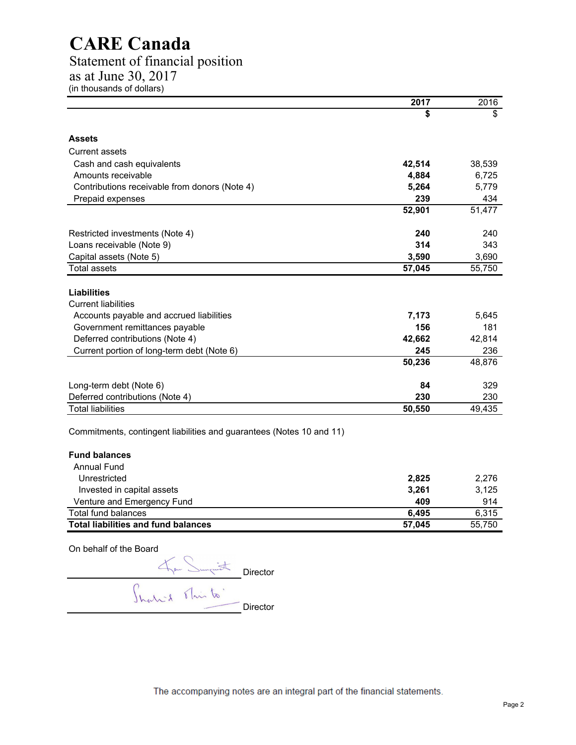### Statement of financial position

as at June 30, 2017

(in thousands of dollars)

|                                                                      | 2017   | 2016   |
|----------------------------------------------------------------------|--------|--------|
|                                                                      | \$     | \$     |
| <b>Assets</b>                                                        |        |        |
| <b>Current assets</b>                                                |        |        |
| Cash and cash equivalents                                            | 42,514 | 38,539 |
| Amounts receivable                                                   | 4,884  | 6,725  |
| Contributions receivable from donors (Note 4)                        | 5,264  | 5,779  |
| Prepaid expenses                                                     | 239    | 434    |
|                                                                      | 52,901 | 51,477 |
| Restricted investments (Note 4)                                      | 240    | 240    |
| Loans receivable (Note 9)                                            | 314    | 343    |
| Capital assets (Note 5)                                              | 3,590  | 3,690  |
| <b>Total assets</b>                                                  | 57,045 | 55,750 |
| <b>Liabilities</b><br><b>Current liabilities</b>                     |        |        |
| Accounts payable and accrued liabilities                             | 7,173  | 5,645  |
| Government remittances payable                                       | 156    | 181    |
| Deferred contributions (Note 4)                                      | 42,662 | 42,814 |
| Current portion of long-term debt (Note 6)                           | 245    | 236    |
|                                                                      | 50,236 | 48,876 |
| Long-term debt (Note 6)                                              | 84     | 329    |
| Deferred contributions (Note 4)                                      | 230    | 230    |
| <b>Total liabilities</b>                                             | 50,550 | 49,435 |
| Commitments, contingent liabilities and guarantees (Notes 10 and 11) |        |        |
| <b>Fund balances</b>                                                 |        |        |
| <b>Annual Fund</b>                                                   |        |        |
| Unrestricted                                                         | 2,825  | 2,276  |
| Invested in capital assets                                           | 3,261  | 3,125  |
| Venture and Emergency Fund                                           | 409    | 914    |
| <b>Total fund balances</b>                                           | 6,495  | 6,315  |
| <b>Total liabilities and fund balances</b>                           | 57,045 | 55,750 |

On behalf of the Board

Director Director

The accompanying notes are an integral part of the financial statements.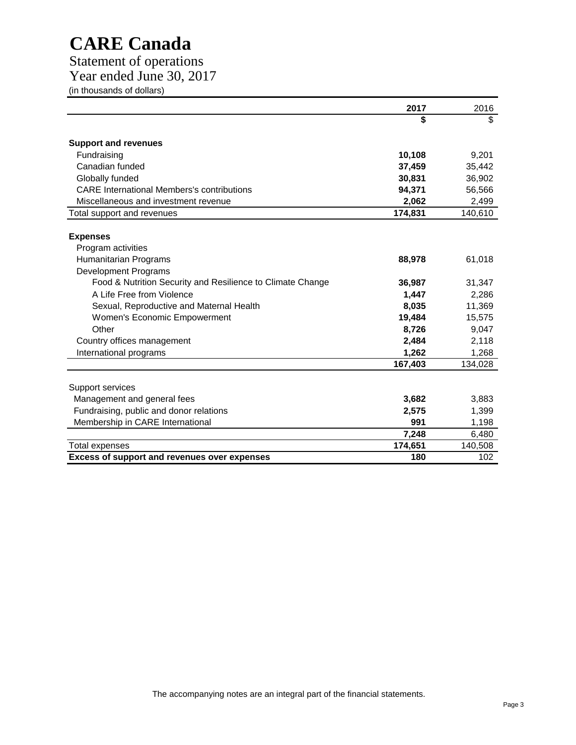Statement of operations

Year ended June 30, 2017

(in thousands of dollars)

|                                                                            | 2017    | 2016    |
|----------------------------------------------------------------------------|---------|---------|
|                                                                            | \$      | \$      |
| <b>Support and revenues</b>                                                |         |         |
| Fundraising                                                                | 10,108  | 9,201   |
| Canadian funded                                                            | 37,459  | 35,442  |
| Globally funded                                                            | 30,831  | 36,902  |
| <b>CARE</b> International Members's contributions                          | 94,371  | 56,566  |
| Miscellaneous and investment revenue                                       | 2,062   | 2,499   |
| Total support and revenues                                                 | 174,831 | 140,610 |
| <b>Expenses</b>                                                            |         |         |
| Program activities<br>Humanitarian Programs<br><b>Development Programs</b> | 88,978  | 61,018  |
| Food & Nutrition Security and Resilience to Climate Change                 | 36,987  | 31,347  |
| A Life Free from Violence                                                  | 1,447   | 2,286   |
| Sexual, Reproductive and Maternal Health                                   | 8,035   | 11,369  |
| <b>Women's Economic Empowerment</b>                                        | 19,484  | 15,575  |
| Other                                                                      | 8,726   | 9,047   |
| Country offices management                                                 | 2,484   | 2,118   |
| International programs                                                     | 1,262   | 1,268   |
|                                                                            | 167,403 | 134,028 |
| Support services                                                           |         |         |
| Management and general fees                                                | 3,682   | 3,883   |
| Fundraising, public and donor relations                                    | 2,575   | 1,399   |
| Membership in CARE International                                           | 991     | 1,198   |
|                                                                            | 7,248   | 6,480   |
| <b>Total expenses</b>                                                      | 174,651 | 140,508 |
| <b>Excess of support and revenues over expenses</b>                        | 180     | 102     |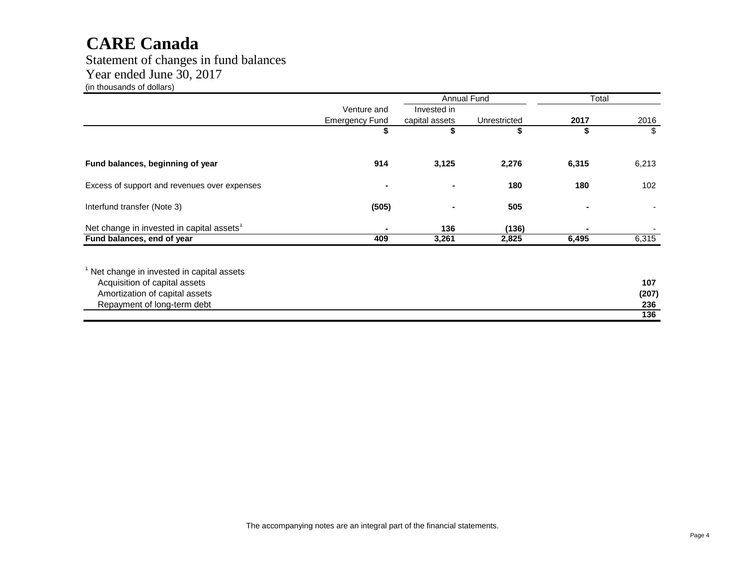Statement of changes in fund balances Year ended June 30, 2017 (in thousands of dollars)

|                                                                                                                                            |                       |                | Annual Fund  | Total |                     |
|--------------------------------------------------------------------------------------------------------------------------------------------|-----------------------|----------------|--------------|-------|---------------------|
|                                                                                                                                            | Venture and           | Invested in    |              |       |                     |
|                                                                                                                                            | <b>Emergency Fund</b> | capital assets | Unrestricted | 2017  | 2016                |
|                                                                                                                                            | \$                    | \$             | \$           | \$    | \$                  |
| Fund balances, beginning of year                                                                                                           | 914                   | 3,125          | 2,276        | 6,315 | 6,213               |
| Excess of support and revenues over expenses                                                                                               | $\blacksquare$        |                | 180          | 180   | 102                 |
| Interfund transfer (Note 3)                                                                                                                | (505)                 |                | 505          |       |                     |
| Net change in invested in capital assets <sup>1</sup>                                                                                      |                       | 136            | (136)        |       |                     |
| Fund balances, end of year                                                                                                                 | 409                   | 3,261          | 2,825        | 6,495 | 6,315               |
| Net change in invested in capital assets<br>Acquisition of capital assets<br>Amortization of capital assets<br>Repayment of long-term debt |                       |                |              |       | 107<br>(207)<br>236 |
|                                                                                                                                            |                       |                |              |       | 136                 |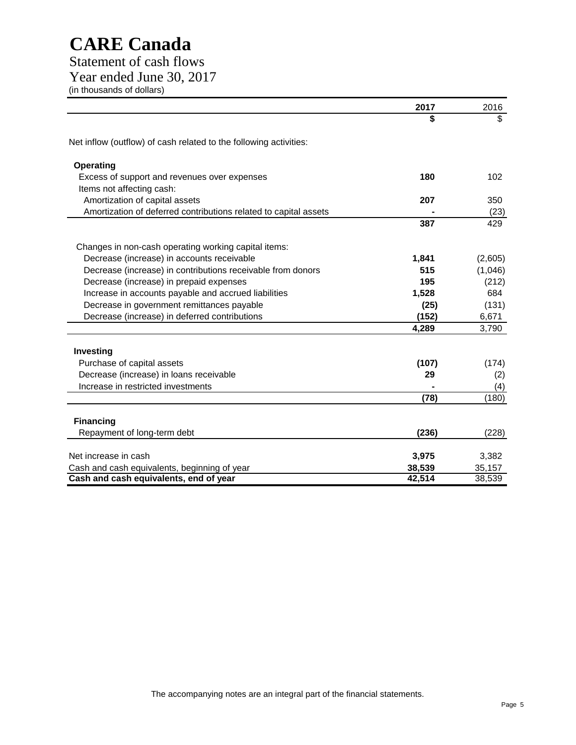Statement of cash flows Year ended June 30, 2017 (in thousands of dollars)

|                                                                   | 2017   | 2016    |
|-------------------------------------------------------------------|--------|---------|
|                                                                   | \$     | \$      |
| Net inflow (outflow) of cash related to the following activities: |        |         |
| <b>Operating</b>                                                  |        |         |
| Excess of support and revenues over expenses                      | 180    | 102     |
| Items not affecting cash:                                         |        |         |
| Amortization of capital assets                                    | 207    | 350     |
| Amortization of deferred contributions related to capital assets  |        | (23)    |
|                                                                   | 387    | 429     |
| Changes in non-cash operating working capital items:              |        |         |
| Decrease (increase) in accounts receivable                        | 1,841  | (2,605) |
| Decrease (increase) in contributions receivable from donors       | 515    | (1,046) |
| Decrease (increase) in prepaid expenses                           | 195    | (212)   |
| Increase in accounts payable and accrued liabilities              | 1,528  | 684     |
| Decrease in government remittances payable                        | (25)   | (131)   |
| Decrease (increase) in deferred contributions                     | (152)  | 6,671   |
|                                                                   | 4,289  | 3,790   |
|                                                                   |        |         |
| Investing                                                         |        |         |
| Purchase of capital assets                                        | (107)  | (174)   |
| Decrease (increase) in loans receivable                           | 29     | (2)     |
| Increase in restricted investments                                |        | (4)     |
|                                                                   | (78)   | (180)   |
| <b>Financing</b>                                                  |        |         |
| Repayment of long-term debt                                       | (236)  | (228)   |
| Net increase in cash                                              | 3,975  | 3,382   |
| Cash and cash equivalents, beginning of year                      | 38,539 | 35,157  |
| Cash and cash equivalents, end of year                            | 42,514 | 38,539  |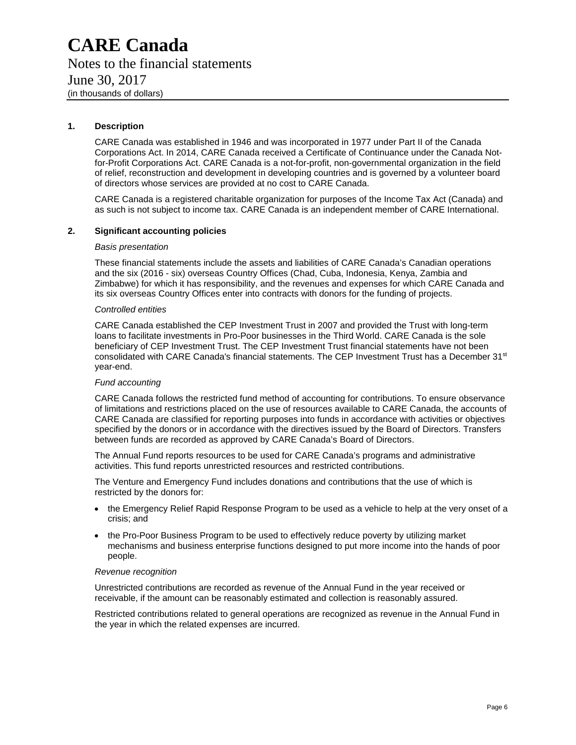### **CARE Canada** Notes to the financial statements June 30, 2017 (in thousands of dollars)

#### **1. Description**

CARE Canada was established in 1946 and was incorporated in 1977 under Part II of the Canada Corporations Act. In 2014, CARE Canada received a Certificate of Continuance under the Canada Notfor-Profit Corporations Act. CARE Canada is a not-for-profit, non-governmental organization in the field of relief, reconstruction and development in developing countries and is governed by a volunteer board of directors whose services are provided at no cost to CARE Canada.

CARE Canada is a registered charitable organization for purposes of the Income Tax Act (Canada) and as such is not subject to income tax. CARE Canada is an independent member of CARE International.

#### **2. Significant accounting policies**

#### *Basis presentation*

These financial statements include the assets and liabilities of CARE Canada's Canadian operations and the six (2016 - six) overseas Country Offices (Chad, Cuba, Indonesia, Kenya, Zambia and Zimbabwe) for which it has responsibility, and the revenues and expenses for which CARE Canada and its six overseas Country Offices enter into contracts with donors for the funding of projects.

#### *Controlled entities*

CARE Canada established the CEP Investment Trust in 2007 and provided the Trust with long-term loans to facilitate investments in Pro-Poor businesses in the Third World. CARE Canada is the sole beneficiary of CEP Investment Trust. The CEP Investment Trust financial statements have not been consolidated with CARE Canada's financial statements. The CEP Investment Trust has a December 31<sup>st</sup> year-end.

#### *Fund accounting*

CARE Canada follows the restricted fund method of accounting for contributions. To ensure observance of limitations and restrictions placed on the use of resources available to CARE Canada, the accounts of CARE Canada are classified for reporting purposes into funds in accordance with activities or objectives specified by the donors or in accordance with the directives issued by the Board of Directors. Transfers between funds are recorded as approved by CARE Canada's Board of Directors.

The Annual Fund reports resources to be used for CARE Canada's programs and administrative activities. This fund reports unrestricted resources and restricted contributions.

The Venture and Emergency Fund includes donations and contributions that the use of which is restricted by the donors for:

- the Emergency Relief Rapid Response Program to be used as a vehicle to help at the very onset of a crisis; and
- the Pro-Poor Business Program to be used to effectively reduce poverty by utilizing market mechanisms and business enterprise functions designed to put more income into the hands of poor people.

#### *Revenue recognition*

Unrestricted contributions are recorded as revenue of the Annual Fund in the year received or receivable, if the amount can be reasonably estimated and collection is reasonably assured.

Restricted contributions related to general operations are recognized as revenue in the Annual Fund in the year in which the related expenses are incurred.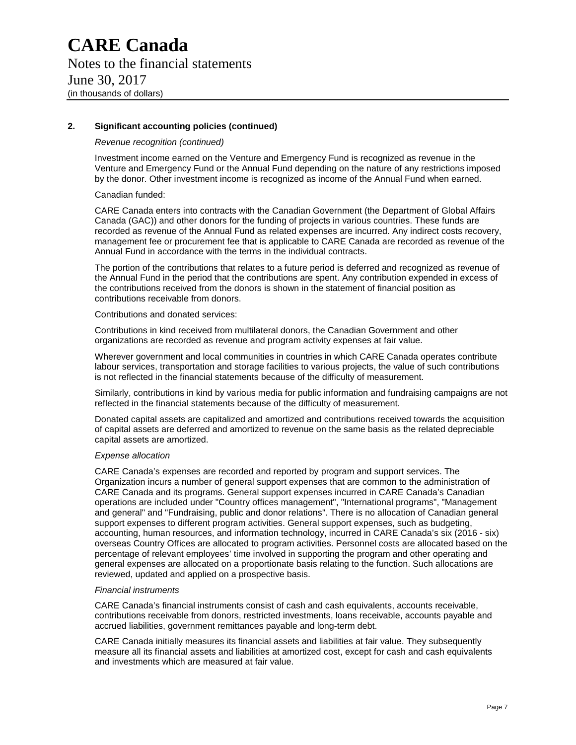#### **2. Significant accounting policies (continued)**

#### *Revenue recognition (continued)*

Investment income earned on the Venture and Emergency Fund is recognized as revenue in the Venture and Emergency Fund or the Annual Fund depending on the nature of any restrictions imposed by the donor. Other investment income is recognized as income of the Annual Fund when earned.

Canadian funded:

CARE Canada enters into contracts with the Canadian Government (the Department of Global Affairs Canada (GAC)) and other donors for the funding of projects in various countries. These funds are recorded as revenue of the Annual Fund as related expenses are incurred. Any indirect costs recovery, management fee or procurement fee that is applicable to CARE Canada are recorded as revenue of the Annual Fund in accordance with the terms in the individual contracts.

The portion of the contributions that relates to a future period is deferred and recognized as revenue of the Annual Fund in the period that the contributions are spent. Any contribution expended in excess of the contributions received from the donors is shown in the statement of financial position as contributions receivable from donors.

#### Contributions and donated services:

Contributions in kind received from multilateral donors, the Canadian Government and other organizations are recorded as revenue and program activity expenses at fair value.

Wherever government and local communities in countries in which CARE Canada operates contribute labour services, transportation and storage facilities to various projects, the value of such contributions is not reflected in the financial statements because of the difficulty of measurement.

Similarly, contributions in kind by various media for public information and fundraising campaigns are not reflected in the financial statements because of the difficulty of measurement.

Donated capital assets are capitalized and amortized and contributions received towards the acquisition of capital assets are deferred and amortized to revenue on the same basis as the related depreciable capital assets are amortized.

#### *Expense allocation*

CARE Canada's expenses are recorded and reported by program and support services. The Organization incurs a number of general support expenses that are common to the administration of CARE Canada and its programs. General support expenses incurred in CARE Canada's Canadian operations are included under "Country offices management", "International programs", "Management and general" and "Fundraising, public and donor relations". There is no allocation of Canadian general support expenses to different program activities. General support expenses, such as budgeting, accounting, human resources, and information technology, incurred in CARE Canada's six (2016 - six) overseas Country Offices are allocated to program activities. Personnel costs are allocated based on the percentage of relevant employees' time involved in supporting the program and other operating and general expenses are allocated on a proportionate basis relating to the function. Such allocations are reviewed, updated and applied on a prospective basis.

#### *Financial instruments*

CARE Canada's financial instruments consist of cash and cash equivalents, accounts receivable, contributions receivable from donors, restricted investments, loans receivable, accounts payable and accrued liabilities, government remittances payable and long-term debt.

CARE Canada initially measures its financial assets and liabilities at fair value. They subsequently measure all its financial assets and liabilities at amortized cost, except for cash and cash equivalents and investments which are measured at fair value.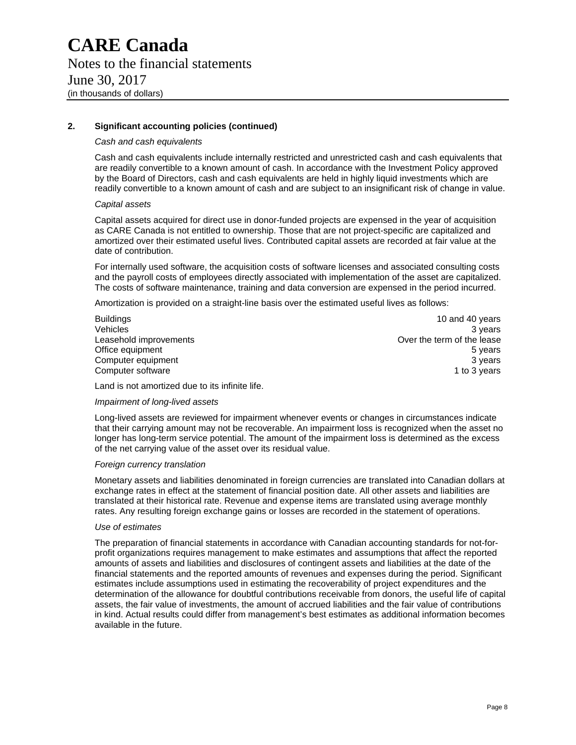#### **2. Significant accounting policies (continued)**

#### *Cash and cash equivalents*

Cash and cash equivalents include internally restricted and unrestricted cash and cash equivalents that are readily convertible to a known amount of cash. In accordance with the Investment Policy approved by the Board of Directors, cash and cash equivalents are held in highly liquid investments which are readily convertible to a known amount of cash and are subject to an insignificant risk of change in value.

#### *Capital assets*

Capital assets acquired for direct use in donor-funded projects are expensed in the year of acquisition as CARE Canada is not entitled to ownership. Those that are not project-specific are capitalized and amortized over their estimated useful lives. Contributed capital assets are recorded at fair value at the date of contribution.

For internally used software, the acquisition costs of software licenses and associated consulting costs and the payroll costs of employees directly associated with implementation of the asset are capitalized. The costs of software maintenance, training and data conversion are expensed in the period incurred.

Amortization is provided on a straight-line basis over the estimated useful lives as follows:

| <b>Buildings</b>       | 10 and 40 years            |
|------------------------|----------------------------|
| <b>Vehicles</b>        | 3 years                    |
| Leasehold improvements | Over the term of the lease |
| Office equipment       | 5 years                    |
| Computer equipment     | 3 years                    |
| Computer software      | 1 to 3 vears               |

Over the term of the lease 1 to 3 years

Land is not amortized due to its infinite life.

#### *Impairment of long-lived assets*

Long-lived assets are reviewed for impairment whenever events or changes in circumstances indicate that their carrying amount may not be recoverable. An impairment loss is recognized when the asset no longer has long-term service potential. The amount of the impairment loss is determined as the excess of the net carrying value of the asset over its residual value.

#### *Foreign currency translation*

Monetary assets and liabilities denominated in foreign currencies are translated into Canadian dollars at exchange rates in effect at the statement of financial position date. All other assets and liabilities are translated at their historical rate. Revenue and expense items are translated using average monthly rates. Any resulting foreign exchange gains or losses are recorded in the statement of operations.

#### *Use of estimates*

The preparation of financial statements in accordance with Canadian accounting standards for not-forprofit organizations requires management to make estimates and assumptions that affect the reported amounts of assets and liabilities and disclosures of contingent assets and liabilities at the date of the financial statements and the reported amounts of revenues and expenses during the period. Significant estimates include assumptions used in estimating the recoverability of project expenditures and the determination of the allowance for doubtful contributions receivable from donors, the useful life of capital assets, the fair value of investments, the amount of accrued liabilities and the fair value of contributions in kind. Actual results could differ from management's best estimates as additional information becomes available in the future.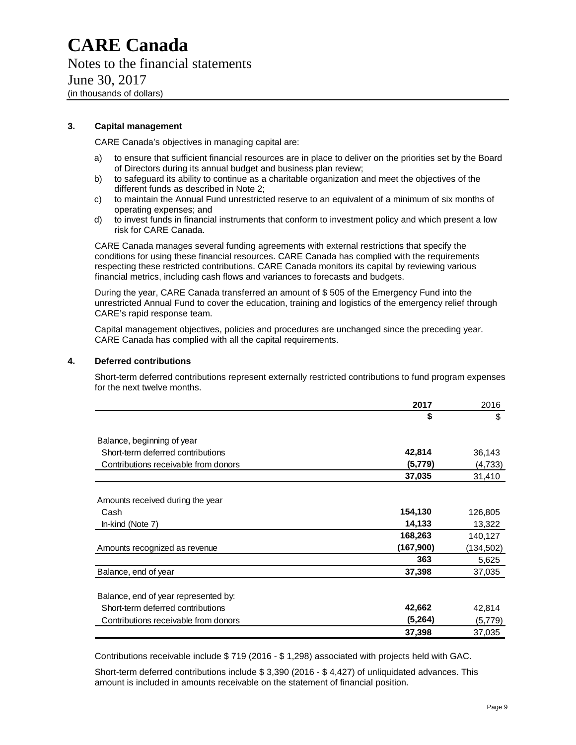#### **3. Capital management**

CARE Canada's objectives in managing capital are:

- a) to ensure that sufficient financial resources are in place to deliver on the priorities set by the Board of Directors during its annual budget and business plan review;
- b) to safeguard its ability to continue as a charitable organization and meet the objectives of the different funds as described in Note 2;
- c) to maintain the Annual Fund unrestricted reserve to an equivalent of a minimum of six months of operating expenses; and
- d) to invest funds in financial instruments that conform to investment policy and which present a low risk for CARE Canada.

CARE Canada manages several funding agreements with external restrictions that specify the conditions for using these financial resources. CARE Canada has complied with the requirements respecting these restricted contributions. CARE Canada monitors its capital by reviewing various financial metrics, including cash flows and variances to forecasts and budgets.

During the year, CARE Canada transferred an amount of \$ 505 of the Emergency Fund into the unrestricted Annual Fund to cover the education, training and logistics of the emergency relief through CARE's rapid response team.

Capital management objectives, policies and procedures are unchanged since the preceding year. CARE Canada has complied with all the capital requirements.

#### **4. Deferred contributions**

Short-term deferred contributions represent externally restricted contributions to fund program expenses for the next twelve months.

|                                      | 2017      | 2016      |
|--------------------------------------|-----------|-----------|
|                                      | \$        | \$        |
| Balance, beginning of year           |           |           |
| Short-term deferred contributions    | 42,814    | 36,143    |
| Contributions receivable from donors | (5,779)   | (4,733)   |
|                                      | 37,035    | 31,410    |
| Amounts received during the year     |           |           |
| Cash                                 | 154,130   | 126,805   |
| In-kind (Note 7)                     | 14,133    | 13,322    |
|                                      | 168,263   | 140,127   |
| Amounts recognized as revenue        | (167,900) | (134,502) |
|                                      | 363       | 5,625     |
| Balance, end of year                 | 37,398    | 37,035    |
| Balance, end of year represented by: |           |           |
| Short-term deferred contributions    | 42,662    | 42,814    |
| Contributions receivable from donors | (5,264)   | (5,779)   |
|                                      | 37,398    | 37,035    |

Contributions receivable include \$ 719 (2016 - \$ 1,298) associated with projects held with GAC.

Short-term deferred contributions include \$ 3,390 (2016 - \$ 4,427) of unliquidated advances. This amount is included in amounts receivable on the statement of financial position.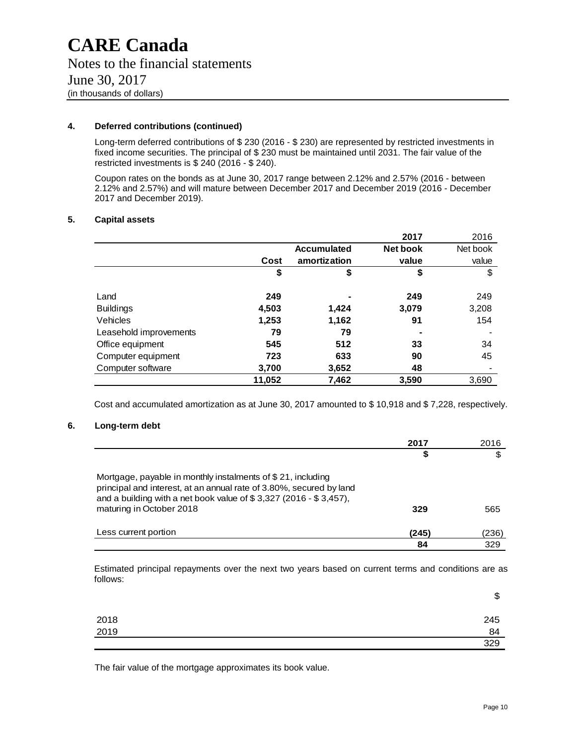#### **4. Deferred contributions (continued)**

Long-term deferred contributions of \$ 230 (2016 - \$ 230) are represented by restricted investments in fixed income securities. The principal of \$ 230 must be maintained until 2031. The fair value of the restricted investments is \$ 240 (2016 - \$ 240).

Coupon rates on the bonds as at June 30, 2017 range between 2.12% and 2.57% (2016 - between 2.12% and 2.57%) and will mature between December 2017 and December 2019 (2016 - December 2017 and December 2019).

#### **5. Capital assets**

|                        |        |                    | 2017     | 2016     |
|------------------------|--------|--------------------|----------|----------|
|                        |        | <b>Accumulated</b> | Net book | Net book |
|                        | Cost   | amortization       | value    | value    |
|                        | \$     | \$                 | \$       | \$       |
|                        |        |                    |          |          |
| Land                   | 249    |                    | 249      | 249      |
| <b>Buildings</b>       | 4,503  | 1,424              | 3,079    | 3,208    |
| Vehicles               | 1,253  | 1,162              | 91       | 154      |
| Leasehold improvements | 79     | 79                 |          |          |
| Office equipment       | 545    | 512                | 33       | 34       |
| Computer equipment     | 723    | 633                | 90       | 45       |
| Computer software      | 3,700  | 3,652              | 48       |          |
|                        | 11,052 | 7,462              | 3,590    | 3,690    |

Cost and accumulated amortization as at June 30, 2017 amounted to \$ 10,918 and \$ 7,228, respectively.

#### **6. Long-term debt**

|                                                                                                                                                                                                                                        | 2017  | 2016  |
|----------------------------------------------------------------------------------------------------------------------------------------------------------------------------------------------------------------------------------------|-------|-------|
|                                                                                                                                                                                                                                        | \$    |       |
| Mortgage, payable in monthly instalments of \$21, including<br>principal and interest, at an annual rate of 3.80%, secured by land<br>and a building with a net book value of $$3,327$ (2016 - $$3,457$ ),<br>maturing in October 2018 | 329   | 565   |
| Less current portion                                                                                                                                                                                                                   | (245) | (236) |
|                                                                                                                                                                                                                                        | 84    | 329   |

Estimated principal repayments over the next two years based on current terms and conditions are as follows:

|              | æ<br>Φ |
|--------------|--------|
| 2018<br>2019 | 245    |
|              | 84     |
|              | 329    |

The fair value of the mortgage approximates its book value.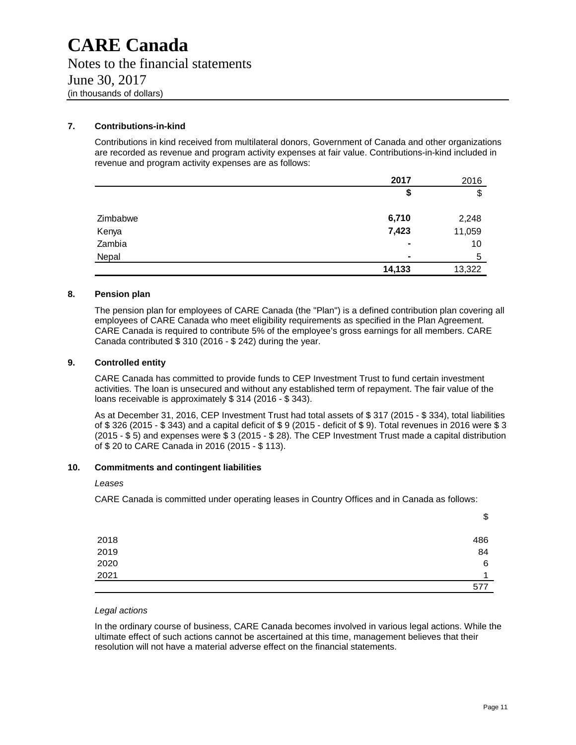#### **7. Contributions-in-kind**

Contributions in kind received from multilateral donors, Government of Canada and other organizations are recorded as revenue and program activity expenses at fair value. Contributions-in-kind included in revenue and program activity expenses are as follows:

|          | 2017           | 2016   |
|----------|----------------|--------|
|          | \$             | \$     |
| Zimbabwe | 6,710          | 2,248  |
| Kenya    | 7,423          | 11,059 |
| Zambia   | ٠              | 10     |
| Nepal    | $\blacksquare$ | 5      |
|          | 14,133         | 13,322 |

#### **8. Pension plan**

The pension plan for employees of CARE Canada (the "Plan") is a defined contribution plan covering all employees of CARE Canada who meet eligibility requirements as specified in the Plan Agreement. CARE Canada is required to contribute 5% of the employee's gross earnings for all members. CARE Canada contributed \$ 310 (2016 - \$ 242) during the year.

#### **9. Controlled entity**

CARE Canada has committed to provide funds to CEP Investment Trust to fund certain investment activities. The loan is unsecured and without any established term of repayment. The fair value of the loans receivable is approximately \$ 314 (2016 - \$ 343).

As at December 31, 2016, CEP Investment Trust had total assets of \$ 317 (2015 - \$ 334), total liabilities of \$ 326 (2015 - \$ 343) and a capital deficit of \$ 9 (2015 - deficit of \$ 9). Total revenues in 2016 were \$ 3 (2015 - \$ 5) and expenses were \$ 3 (2015 - \$ 28). The CEP Investment Trust made a capital distribution of \$ 20 to CARE Canada in 2016 (2015 - \$ 113).

#### **10. Commitments and contingent liabilities**

#### *Leases*

CARE Canada is committed under operating leases in Country Offices and in Canada as follows:

|      | Ψ   |
|------|-----|
|      |     |
| 2018 | 486 |
| 2019 | 84  |
| 2020 | 6   |
| 2021 |     |
|      | 577 |

#### *Legal actions*

In the ordinary course of business, CARE Canada becomes involved in various legal actions. While the ultimate effect of such actions cannot be ascertained at this time, management believes that their resolution will not have a material adverse effect on the financial statements.

\$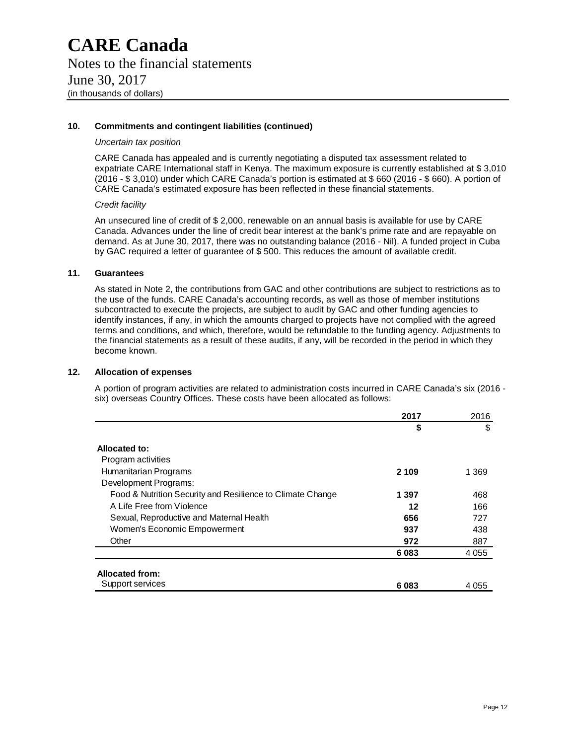#### **10. Commitments and contingent liabilities (continued)**

#### *Uncertain tax position*

CARE Canada has appealed and is currently negotiating a disputed tax assessment related to expatriate CARE International staff in Kenya. The maximum exposure is currently established at \$ 3,010 (2016 - \$ 3,010) under which CARE Canada's portion is estimated at \$ 660 (2016 - \$ 660). A portion of CARE Canada's estimated exposure has been reflected in these financial statements.

#### *Credit facility*

An unsecured line of credit of \$ 2,000, renewable on an annual basis is available for use by CARE Canada. Advances under the line of credit bear interest at the bank's prime rate and are repayable on demand. As at June 30, 2017, there was no outstanding balance (2016 - Nil). A funded project in Cuba by GAC required a letter of guarantee of \$ 500. This reduces the amount of available credit.

#### **11. Guarantees**

As stated in Note 2, the contributions from GAC and other contributions are subject to restrictions as to the use of the funds. CARE Canada's accounting records, as well as those of member institutions subcontracted to execute the projects, are subject to audit by GAC and other funding agencies to identify instances, if any, in which the amounts charged to projects have not complied with the agreed terms and conditions, and which, therefore, would be refundable to the funding agency. Adjustments to the financial statements as a result of these audits, if any, will be recorded in the period in which they become known.

#### **12. Allocation of expenses**

A portion of program activities are related to administration costs incurred in CARE Canada's six (2016 six) overseas Country Offices. These costs have been allocated as follows:

|                                                            | 2017    | 2016    |
|------------------------------------------------------------|---------|---------|
|                                                            | \$      | \$      |
| Allocated to:                                              |         |         |
| Program activities                                         |         |         |
| Humanitarian Programs                                      | 2 1 0 9 | 1 3 6 9 |
| Development Programs:                                      |         |         |
| Food & Nutrition Security and Resilience to Climate Change | 1 3 9 7 | 468     |
| A Life Free from Violence                                  | 12      | 166     |
| Sexual, Reproductive and Maternal Health                   | 656     | 727     |
| Women's Economic Empowerment                               | 937     | 438     |
| Other                                                      | 972     | 887     |
|                                                            | 6083    | 4 0 5 5 |
|                                                            |         |         |
| <b>Allocated from:</b>                                     |         |         |
| Support services                                           | 6083    | 4 0 5 5 |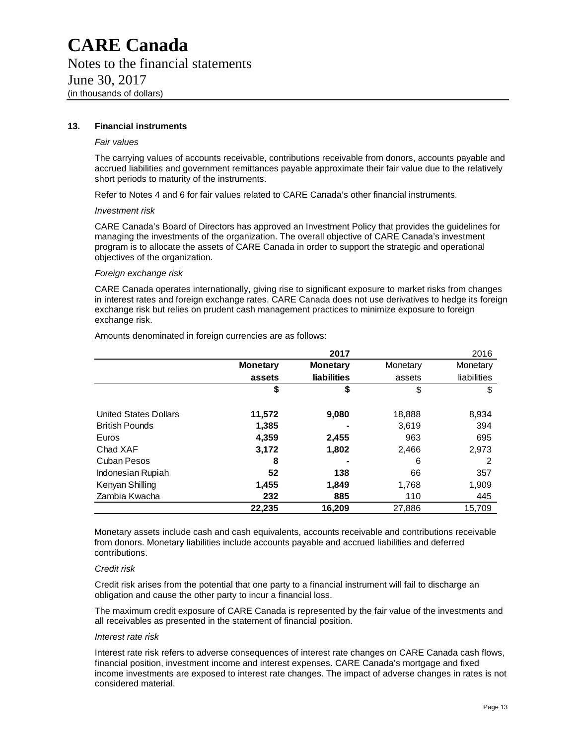#### **13. Financial instruments**

#### *Fair values*

The carrying values of accounts receivable, contributions receivable from donors, accounts payable and accrued liabilities and government remittances payable approximate their fair value due to the relatively short periods to maturity of the instruments.

Refer to Notes 4 and 6 for fair values related to CARE Canada's other financial instruments.

#### *Investment risk*

CARE Canada's Board of Directors has approved an Investment Policy that provides the guidelines for managing the investments of the organization. The overall objective of CARE Canada's investment program is to allocate the assets of CARE Canada in order to support the strategic and operational objectives of the organization.

#### *Foreign exchange risk*

CARE Canada operates internationally, giving rise to significant exposure to market risks from changes in interest rates and foreign exchange rates. CARE Canada does not use derivatives to hedge its foreign exchange risk but relies on prudent cash management practices to minimize exposure to foreign exchange risk.

|                          |                 | 2017               |          | 2016        |
|--------------------------|-----------------|--------------------|----------|-------------|
|                          | <b>Monetary</b> | <b>Monetary</b>    | Monetary | Monetary    |
|                          | assets          | <b>liabilities</b> | assets   | liabilities |
|                          | \$              | \$                 | \$       | \$          |
| United States Dollars    | 11,572          | 9,080              | 18,888   | 8,934       |
| <b>British Pounds</b>    | 1,385           |                    | 3,619    | 394         |
| Euros                    | 4,359           | 2,455              | 963      | 695         |
| Chad XAF                 | 3,172           | 1,802              | 2,466    | 2,973       |
| Cuban Pesos              | 8               |                    | 6        | 2           |
| <b>Indonesian Rupiah</b> | 52              | 138                | 66       | 357         |
| Kenyan Shilling          | 1,455           | 1,849              | 1,768    | 1,909       |
| Zambia Kwacha            | 232             | 885                | 110      | 445         |
|                          | 22,235          | 16,209             | 27,886   | 15,709      |

Amounts denominated in foreign currencies are as follows:

Monetary assets include cash and cash equivalents, accounts receivable and contributions receivable from donors. Monetary liabilities include accounts payable and accrued liabilities and deferred contributions.

#### *Credit risk*

Credit risk arises from the potential that one party to a financial instrument will fail to discharge an obligation and cause the other party to incur a financial loss.

The maximum credit exposure of CARE Canada is represented by the fair value of the investments and all receivables as presented in the statement of financial position.

#### *Interest rate risk*

Interest rate risk refers to adverse consequences of interest rate changes on CARE Canada cash flows, financial position, investment income and interest expenses. CARE Canada's mortgage and fixed income investments are exposed to interest rate changes. The impact of adverse changes in rates is not considered material.